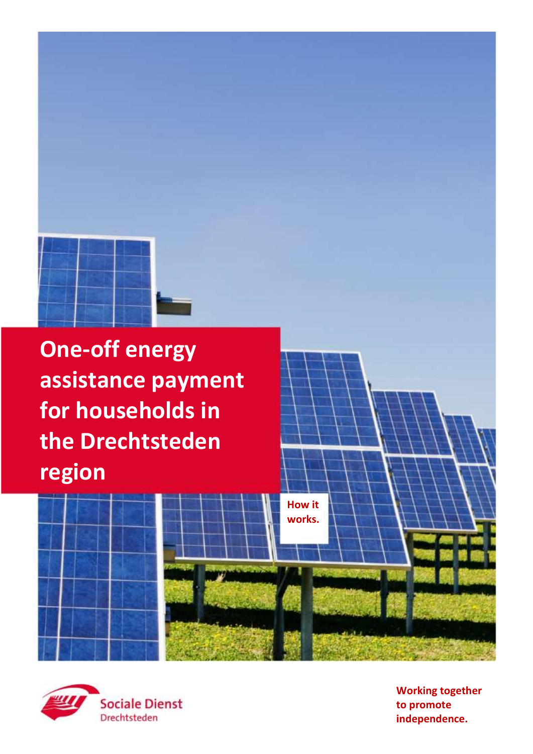

**One-off energy assistance payment for households in the Drechtsteden region**



**Working together to promote independence.**

**How it works.**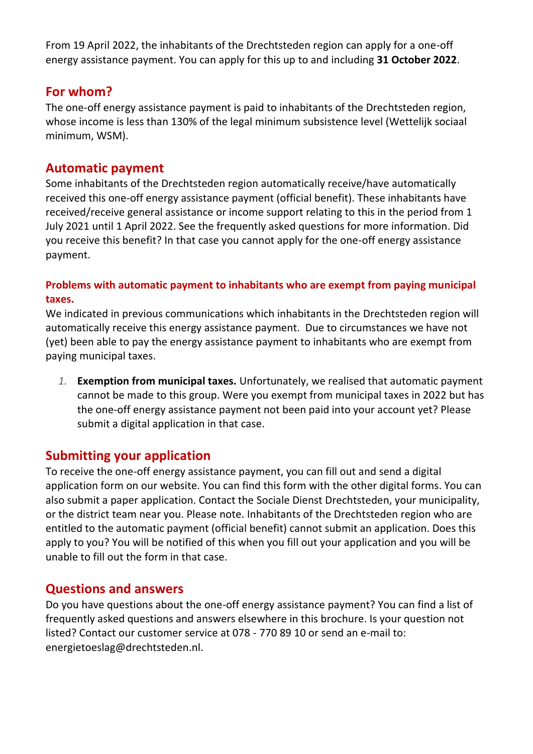From 19 April 2022, the inhabitants of the Drechtsteden region can apply for a one-off energy assistance payment. You can apply for this up to and including **31 October 2022**.

## **For whom?**

The one-off energy assistance payment is paid to inhabitants of the Drechtsteden region, whose income is less than 130% of the legal minimum subsistence level (Wettelijk sociaal minimum, WSM).

## **Automatic payment**

Some inhabitants of the Drechtsteden region automatically receive/have automatically received this one-off energy assistance payment (official benefit). These inhabitants have received/receive general assistance or income support relating to this in the period from 1 July 2021 until 1 April 2022. See the frequently asked questions for more information. Did you receive this benefit? In that case you cannot apply for the one-off energy assistance payment.

#### **Problems with automatic payment to inhabitants who are exempt from paying municipal taxes.**

We indicated in previous communications which inhabitants in the Drechtsteden region will automatically receive this energy assistance payment. Due to circumstances we have not (yet) been able to pay the energy assistance payment to inhabitants who are exempt from paying municipal taxes.

*1.* **Exemption from municipal taxes.** Unfortunately, we realised that automatic payment cannot be made to this group. Were you exempt from municipal taxes in 2022 but has the one-off energy assistance payment not been paid into your account yet? Please submit a digital application in that case.

## **Submitting your application**

To receive the one-off energy assistance payment, you can fill out and send a digital application form on our website. You can find this form with the other digital forms. You can also submit a paper application. Contact the Sociale Dienst Drechtsteden, your municipality, or the district team near you. Please note. Inhabitants of the Drechtsteden region who are entitled to the automatic payment (official benefit) cannot submit an application. Does this apply to you? You will be notified of this when you fill out your application and you will be unable to fill out the form in that case.

## **Questions and answers**

Do you have questions about the one-off energy assistance payment? You can find a list of frequently asked questions and answers elsewhere in this brochure. Is your question not listed? Contact our customer service at 078 - 770 89 10 or send an e-mail to[:](mailto:energietoeslag@drechtsteden.nl) [energietoeslag@drechtsteden.nl.](mailto:energietoeslag@drechtsteden.nl)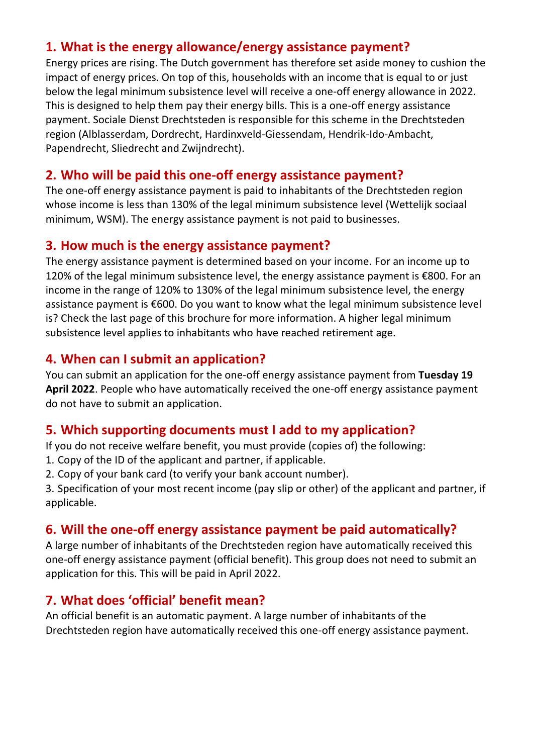## **1. What is the energy allowance/energy assistance payment?**

Energy prices are rising. The Dutch government has therefore set aside money to cushion the impact of energy prices. On top of this, households with an income that is equal to or just below the legal minimum subsistence level will receive a one-off energy allowance in 2022. This is designed to help them pay their energy bills. This is a one-off energy assistance payment. Sociale Dienst Drechtsteden is responsible for this scheme in the Drechtsteden region (Alblasserdam, Dordrecht, Hardinxveld-Giessendam, Hendrik-Ido-Ambacht, Papendrecht, Sliedrecht and Zwijndrecht).

## **2. Who will be paid this one-off energy assistance payment?**

The one-off energy assistance payment is paid to inhabitants of the Drechtsteden region whose income is less than 130% of the legal minimum subsistence level (Wettelijk sociaal minimum, WSM). The energy assistance payment is not paid to businesses.

#### **3. How much is the energy assistance payment?**

The energy assistance payment is determined based on your income. For an income up to 120% of the legal minimum subsistence level, the energy assistance payment is €800. For an income in the range of 120% to 130% of the legal minimum subsistence level, the energy assistance payment is €600. Do you want to know what the legal minimum subsistence level is? Check the last page of this brochure for more information. A higher legal minimum subsistence level applies to inhabitants who have reached retirement age.

## **4. When can I submit an application?**

You can submit an application for the one-off energy assistance payment from **Tuesday 19 April 2022**. People who have automatically received the one-off energy assistance payment do not have to submit an application.

## **5. Which supporting documents must I add to my application?**

If you do not receive welfare benefit, you must provide (copies of) the following:

- 1. Copy of the ID of the applicant and partner, if applicable.
- 2. Copy of your bank card (to verify your bank account number).

3. Specification of your most recent income (pay slip or other) of the applicant and partner, if applicable.

## **6. Will the one-off energy assistance payment be paid automatically?**

A large number of inhabitants of the Drechtsteden region have automatically received this one-off energy assistance payment (official benefit). This group does not need to submit an application for this. This will be paid in April 2022.

## **7. What does 'official' benefit mean?**

An official benefit is an automatic payment. A large number of inhabitants of the Drechtsteden region have automatically received this one-off energy assistance payment.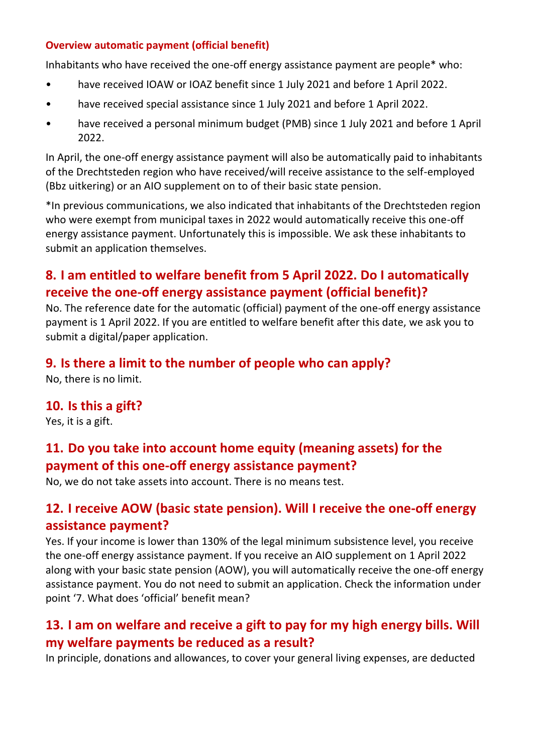#### **Overview automatic payment (official benefit)**

Inhabitants who have received the one-off energy assistance payment are people\* who:

- have received IOAW or IOAZ benefit since 1 July 2021 and before 1 April 2022.
- have received special assistance since 1 July 2021 and before 1 April 2022.
- have received a personal minimum budget (PMB) since 1 July 2021 and before 1 April 2022.

In April, the one-off energy assistance payment will also be automatically paid to inhabitants of the Drechtsteden region who have received/will receive assistance to the self-employed (Bbz uitkering) or an AIO supplement on to of their basic state pension.

\*In previous communications, we also indicated that inhabitants of the Drechtsteden region who were exempt from municipal taxes in 2022 would automatically receive this one-off energy assistance payment. Unfortunately this is impossible. We ask these inhabitants to submit an application themselves.

# **8. I am entitled to welfare benefit from 5 April 2022. Do I automatically receive the one-off energy assistance payment (official benefit)?**

No. The reference date for the automatic (official) payment of the one-off energy assistance payment is 1 April 2022. If you are entitled to welfare benefit after this date, we ask you to submit a digital/paper application.

# **9. Is there a limit to the number of people who can apply?**

No, there is no limit.

## **10. Is this a gift?**

Yes, it is a gift.

# **11. Do you take into account home equity (meaning assets) for the payment of this one-off energy assistance payment?**

No, we do not take assets into account. There is no means test.

## **12. I receive AOW (basic state pension). Will I receive the one-off energy assistance payment?**

Yes. If your income is lower than 130% of the legal minimum subsistence level, you receive the one-off energy assistance payment. If you receive an AIO supplement on 1 April 2022 along with your basic state pension (AOW), you will automatically receive the one-off energy assistance payment. You do not need to submit an application. Check the information under point '7. What does 'official' benefit mean?

# **13. I am on welfare and receive a gift to pay for my high energy bills. Will my welfare payments be reduced as a result?**

In principle, donations and allowances, to cover your general living expenses, are deducted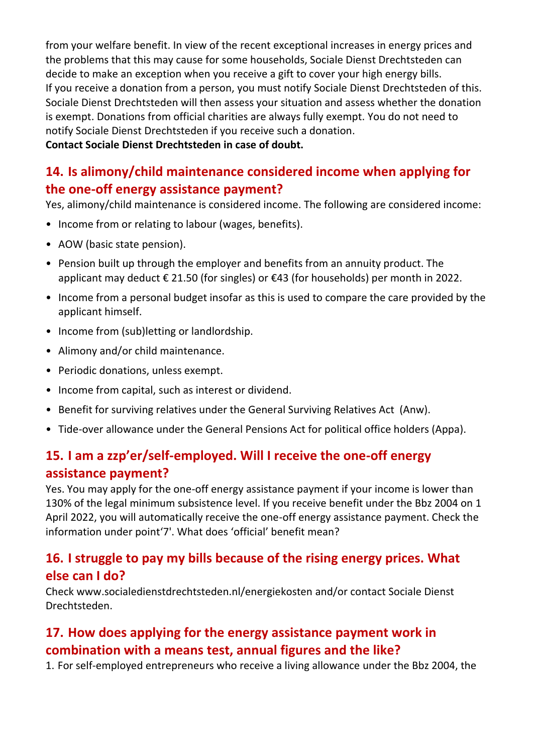from your welfare benefit. In view of the recent exceptional increases in energy prices and the problems that this may cause for some households, Sociale Dienst Drechtsteden can decide to make an exception when you receive a gift to cover your high energy bills. If you receive a donation from a person, you must notify Sociale Dienst Drechtsteden of this. Sociale Dienst Drechtsteden will then assess your situation and assess whether the donation is exempt. Donations from official charities are always fully exempt. You do not need to notify Sociale Dienst Drechtsteden if you receive such a donation. **Contact Sociale Dienst Drechtsteden in case of doubt.**

## **14. Is alimony/child maintenance considered income when applying for the one-off energy assistance payment?**

Yes, alimony/child maintenance is considered income. The following are considered income:

- Income from or relating to labour (wages, benefits).
- AOW (basic state pension).
- Pension built up through the employer and benefits from an annuity product. The applicant may deduct € 21.50 (for singles) or €43 (for households) per month in 2022.
- Income from a personal budget insofar as this is used to compare the care provided by the applicant himself.
- Income from (sub)letting or landlordship.
- Alimony and/or child maintenance.
- Periodic donations, unless exempt.
- Income from capital, such as interest or dividend.
- Benefit for surviving relatives under the General Surviving Relatives Act (Anw).
- Tide-over allowance under the General Pensions Act for political office holders (Appa).

# **15. I am a zzp'er/self-employed. Will I receive the one-off energy assistance payment?**

Yes. You may apply for the one-off energy assistance payment if your income is lower than 130% of the legal minimum subsistence level. If you receive benefit under the Bbz 2004 on 1 April 2022, you will automatically receive the one-off energy assistance payment. Check the information under point'7'. What does 'official' benefit mean?

## **16. I struggle to pay my bills because of the rising energy prices. What else can I do?**

Check [www.socialedienstdrechtsteden.nl/energiekosten](http://www.socialedienstdrechtsteden.nl/energiekosten) and/or contact Sociale Dienst Drechtsteden.

# **17. How does applying for the energy assistance payment work in combination with a means test, annual figures and the like?**

1. For self-employed entrepreneurs who receive a living allowance under the Bbz 2004, the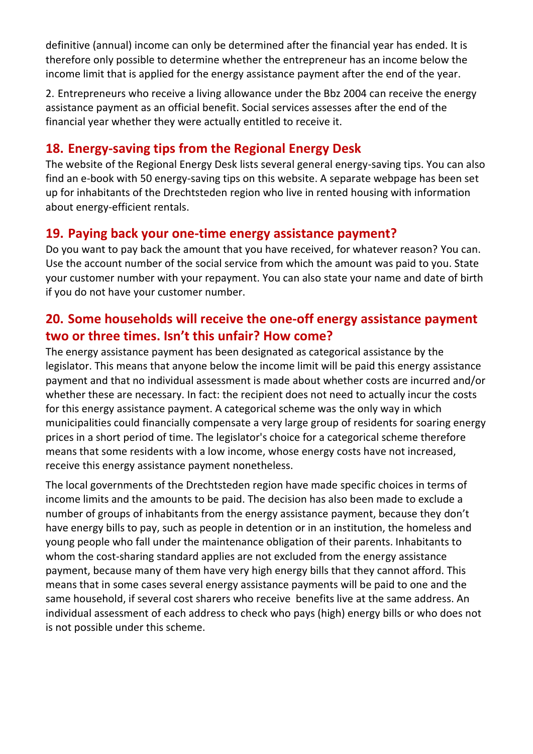definitive (annual) income can only be determined after the financial year has ended. It is therefore only possible to determine whether the entrepreneur has an income below the income limit that is applied for the energy assistance payment after the end of the year.

2. Entrepreneurs who receive a living allowance under the Bbz 2004 can receive the energy assistance payment as an official benefit. Social services assesses after the end of the financial year whether they were actually entitled to receive it.

## **18. Energy-saving tips from the Regional Energy Desk**

The website of the Regional Energy Desk lists several general energy-saving tips. You can also find an e-book with 50 energy-saving tips on this website. A separate webpage has been set up for inhabitants of the Drechtsteden region who live in rented housing with information about energy-efficient rentals.

## **19. Paying back your one-time energy assistance payment?**

Do you want to pay back the amount that you have received, for whatever reason? You can. Use the account number of the social service from which the amount was paid to you. State your customer number with your repayment. You can also state your name and date of birth if you do not have your customer number.

# **20. Some households will receive the one-off energy assistance payment two or three times. Isn't this unfair? How come?**

The energy assistance payment has been designated as categorical assistance by the legislator. This means that anyone below the income limit will be paid this energy assistance payment and that no individual assessment is made about whether costs are incurred and/or whether these are necessary. In fact: the recipient does not need to actually incur the costs for this energy assistance payment. A categorical scheme was the only way in which municipalities could financially compensate a very large group of residents for soaring energy prices in a short period of time. The legislator's choice for a categorical scheme therefore means that some residents with a low income, whose energy costs have not increased, receive this energy assistance payment nonetheless.

The local governments of the Drechtsteden region have made specific choices in terms of income limits and the amounts to be paid. The decision has also been made to exclude a number of groups of inhabitants from the energy assistance payment, because they don't have energy bills to pay, such as people in detention or in an institution, the homeless and young people who fall under the maintenance obligation of their parents. Inhabitants to whom the cost-sharing standard applies are not excluded from the energy assistance payment, because many of them have very high energy bills that they cannot afford. This means that in some cases several energy assistance payments will be paid to one and the same household, if several cost sharers who receive benefits live at the same address. An individual assessment of each address to check who pays (high) energy bills or who does not is not possible under this scheme.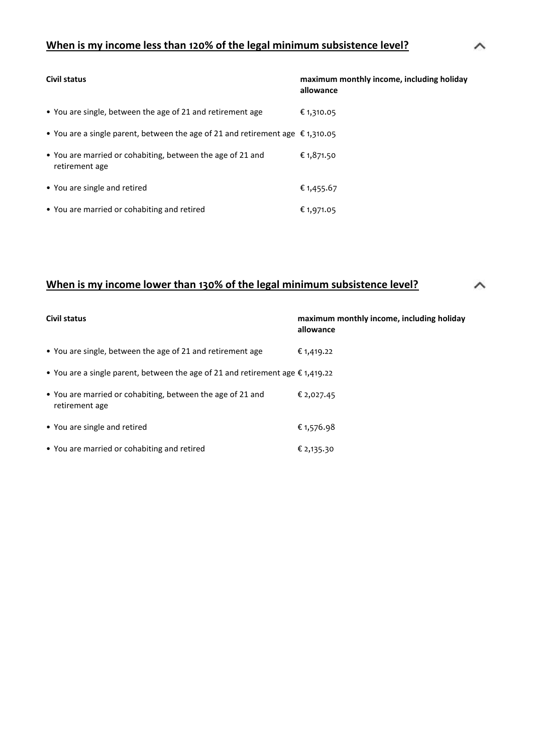#### **When is my income less than 120% of the legal minimum subsistence level?**

| Civil status                                                                            | maximum monthly income, including holiday<br>allowance |
|-----------------------------------------------------------------------------------------|--------------------------------------------------------|
| • You are single, between the age of 21 and retirement age                              | € 1,310.05                                             |
| • You are a single parent, between the age of 21 and retirement age $\epsilon$ 1,310.05 |                                                        |
| • You are married or cohabiting, between the age of 21 and<br>retirement age            | € 1,871.50                                             |
| • You are single and retired                                                            | € 1,455.67                                             |
| • You are married or cohabiting and retired                                             | € 1,971.05                                             |

## **When is my income lower than 130% of the legal minimum subsistence level?**

| Civil status                                                                            | maximum monthly income, including holiday<br>allowance |
|-----------------------------------------------------------------------------------------|--------------------------------------------------------|
| • You are single, between the age of 21 and retirement age                              | € 1,419.22                                             |
| • You are a single parent, between the age of 21 and retirement age $\epsilon$ 1,419.22 |                                                        |
| • You are married or cohabiting, between the age of 21 and<br>retirement age            | € 2,027.45                                             |
| • You are single and retired                                                            | € 1,576.98                                             |
| • You are married or cohabiting and retired                                             | € 2,135.30                                             |

∧